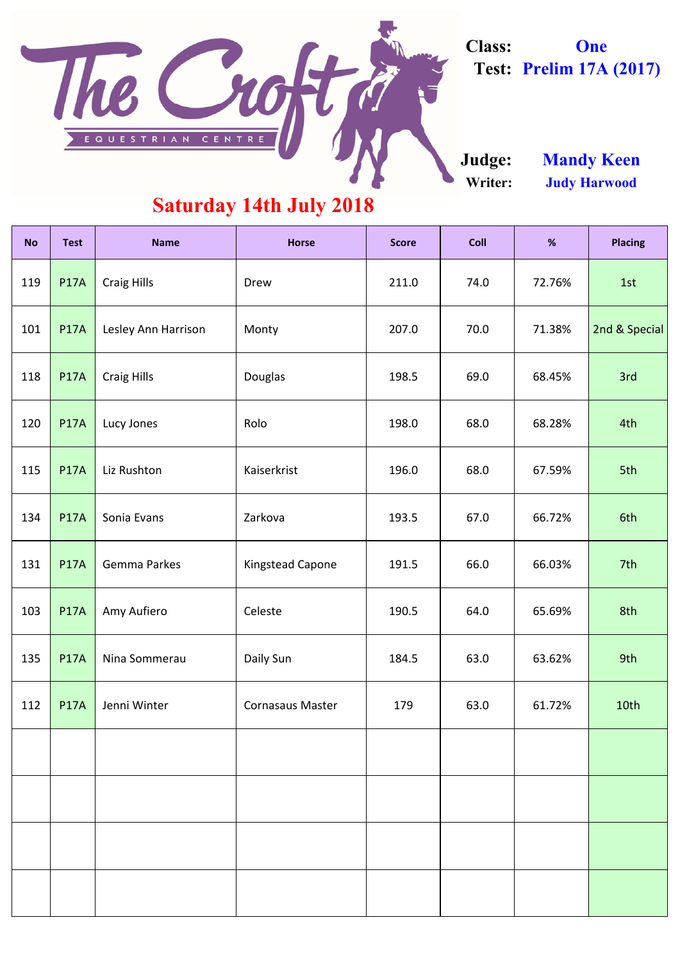| <b>No</b> | <b>Test</b> | <b>Name</b>         | <b>Horse</b>            | <b>Score</b> | <b>Coll</b> | %      | <b>Placing</b> |
|-----------|-------------|---------------------|-------------------------|--------------|-------------|--------|----------------|
| 119       | <b>P17A</b> | <b>Craig Hills</b>  | Drew                    | 211.0        | 74.0        | 72.76% | 1st            |
| 101       | <b>P17A</b> | Lesley Ann Harrison | Monty                   | 207.0        | 70.0        | 71.38% | 2nd & Special  |
| 118       | <b>P17A</b> | <b>Craig Hills</b>  | <b>Douglas</b>          | 198.5        | 69.0        | 68.45% | 3rd            |
| 120       | <b>P17A</b> | Lucy Jones          | Rolo                    | 198.0        | 68.0        | 68.28% | 4th            |
| 115       | <b>P17A</b> | Liz Rushton         | Kaiserkrist             | 196.0        | 68.0        | 67.59% | 5th            |
| 134       | <b>P17A</b> | Sonia Evans         | Zarkova                 | 193.5        | 67.0        | 66.72% | 6th            |
| 131       | <b>P17A</b> | <b>Gemma Parkes</b> | <b>Kingstead Capone</b> | 191.5        | 66.0        | 66.03% | 7th            |
| 103       | <b>P17A</b> | Amy Aufiero         | Celeste                 | 190.5        | 64.0        | 65.69% | 8th            |
| 135       | <b>P17A</b> | Nina Sommerau       | Daily Sun               | 184.5        | 63.0        | 63.62% | 9th            |
| 112       | <b>P17A</b> | Jenni Winter        | <b>Cornasaus Master</b> | 179          | 63.0        | 61.72% | 10th           |
|           |             |                     |                         |              |             |        |                |
|           |             |                     |                         |              |             |        |                |
|           |             |                     |                         |              |             |        |                |
|           |             |                     |                         |              |             |        |                |



**Class: One Test: Prelim 17A (2017)**

**Writer: Judy Harwood Judge: Mandy Keen**

### **Saturday 14th July 2018**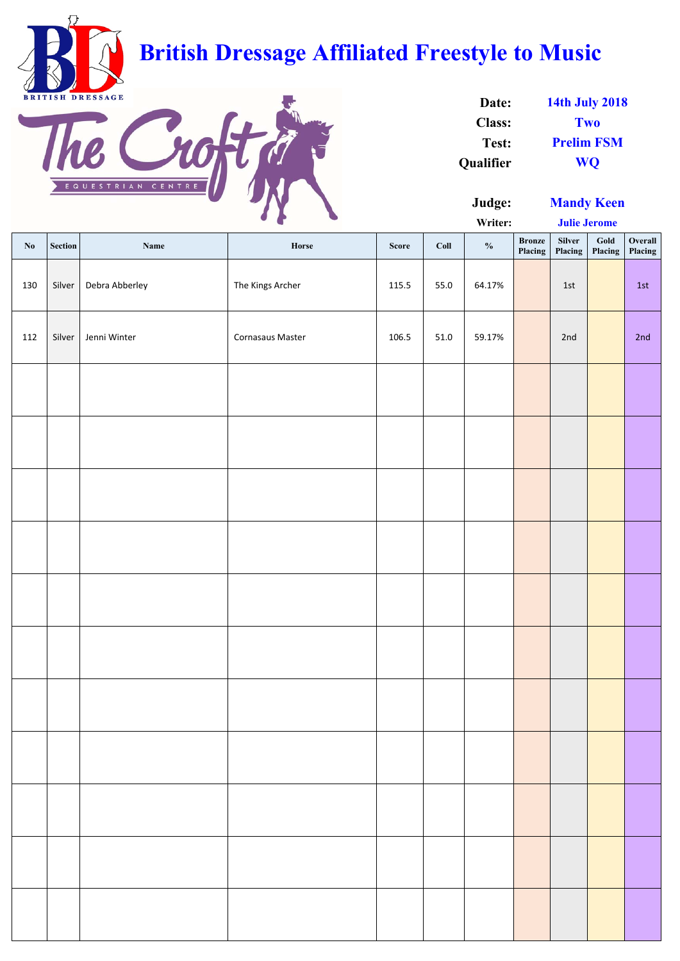**Judge:**

**Writer:**

| $\mathbf{N}\mathbf{0}$ | <b>Section</b> | Name           | Horse                   | <b>Score</b> | Coll | $\frac{0}{0}$ | <b>Bronze</b><br><b>Placing</b> | Silver<br>Placing | Gold<br>Placing | Overall<br>Placing |
|------------------------|----------------|----------------|-------------------------|--------------|------|---------------|---------------------------------|-------------------|-----------------|--------------------|
| 130                    | Silver         | Debra Abberley | The Kings Archer        | 115.5        | 55.0 | 64.17%        |                                 | 1st               |                 | 1st                |
| 112                    | Silver         | Jenni Winter   | <b>Cornasaus Master</b> | 106.5        | 51.0 | 59.17%        |                                 | 2nd               |                 | 2nd                |
|                        |                |                |                         |              |      |               |                                 |                   |                 |                    |
|                        |                |                |                         |              |      |               |                                 |                   |                 |                    |
|                        |                |                |                         |              |      |               |                                 |                   |                 |                    |
|                        |                |                |                         |              |      |               |                                 |                   |                 |                    |
|                        |                |                |                         |              |      |               |                                 |                   |                 |                    |
|                        |                |                |                         |              |      |               |                                 |                   |                 |                    |
|                        |                |                |                         |              |      |               |                                 |                   |                 |                    |
|                        |                |                |                         |              |      |               |                                 |                   |                 |                    |
|                        |                |                |                         |              |      |               |                                 |                   |                 |                    |
|                        |                |                |                         |              |      |               |                                 |                   |                 |                    |
|                        |                |                |                         |              |      |               |                                 |                   |                 |                    |

| Date:            | <b>14th July 2018</b> |
|------------------|-----------------------|
| <b>Class:</b>    | Two                   |
| Test:            | <b>Prelim FSM</b>     |
| <b>Qualifier</b> | <b>WO</b>             |



## **British Dressage Affiliated Freestyle to Music**



**Julie Jerome**

**Mandy Keen**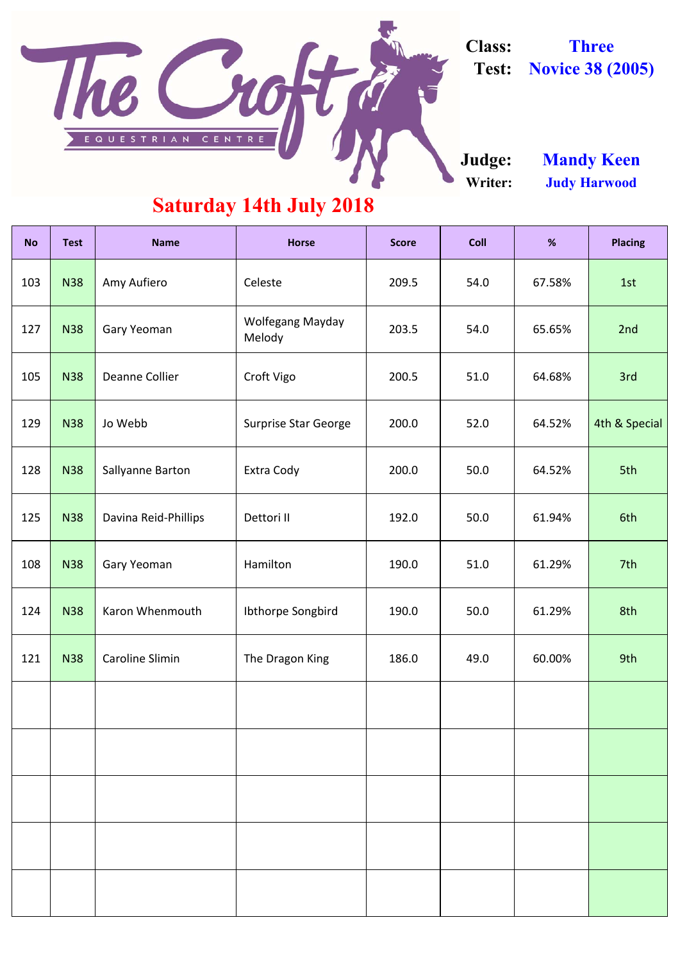| <b>No</b> | <b>Test</b> | <b>Name</b>            | <b>Horse</b>                      | <b>Score</b> | <b>Coll</b> | %      | <b>Placing</b> |
|-----------|-------------|------------------------|-----------------------------------|--------------|-------------|--------|----------------|
| 103       | <b>N38</b>  | Amy Aufiero            | Celeste                           | 209.5        | 54.0        | 67.58% | 1st            |
| 127       | <b>N38</b>  | <b>Gary Yeoman</b>     | <b>Wolfegang Mayday</b><br>Melody | 203.5        | 54.0        | 65.65% | 2nd            |
| 105       | <b>N38</b>  | Deanne Collier         | Croft Vigo                        | 200.5        | 51.0        | 64.68% | 3rd            |
| 129       | <b>N38</b>  | Jo Webb                | <b>Surprise Star George</b>       | 200.0        | 52.0        | 64.52% | 4th & Special  |
| 128       | <b>N38</b>  | Sallyanne Barton       | Extra Cody                        | 200.0        | 50.0        | 64.52% | 5th            |
| 125       | <b>N38</b>  | Davina Reid-Phillips   | Dettori II                        | 192.0        | 50.0        | 61.94% | 6th            |
| 108       | <b>N38</b>  | <b>Gary Yeoman</b>     | Hamilton                          | 190.0        | 51.0        | 61.29% | 7th            |
| 124       | <b>N38</b>  | Karon Whenmouth        | Ibthorpe Songbird                 | 190.0        | 50.0        | 61.29% | 8th            |
| 121       | <b>N38</b>  | <b>Caroline Slimin</b> | The Dragon King                   | 186.0        | 49.0        | 60.00% | 9th            |
|           |             |                        |                                   |              |             |        |                |

**Class: Three Test: Novice 38 (2005)**

**Writer: Judy Harwood Judge: Mandy Keen**

#### **Saturday 14th July 2018**

Not

The

EQUESTRIAN CENTRE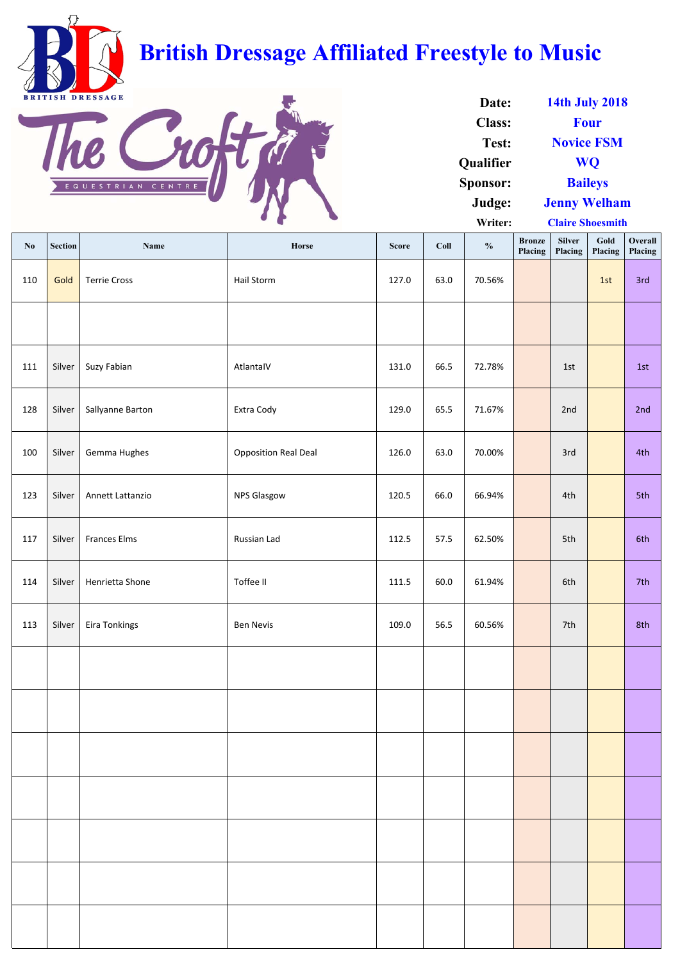| $\mathbf{N}\mathbf{0}$ | Section | <b>Name</b>         | Horse                       | <b>Score</b> | Coll | $\frac{0}{0}$ | <b>Bronze</b><br>Placing | <b>Silver</b><br>Placing | Gold<br>Placing | Overall<br>Placing |
|------------------------|---------|---------------------|-----------------------------|--------------|------|---------------|--------------------------|--------------------------|-----------------|--------------------|
| 110                    | Gold    | <b>Terrie Cross</b> | Hail Storm                  | 127.0        | 63.0 | 70.56%        |                          |                          | 1st             | 3rd                |
|                        |         |                     |                             |              |      |               |                          |                          |                 |                    |
| 111                    | Silver  | Suzy Fabian         | AtlantalV                   | 131.0        | 66.5 | 72.78%        |                          | 1st                      |                 | 1st                |
| 128                    | Silver  | Sallyanne Barton    | Extra Cody                  | 129.0        | 65.5 | 71.67%        |                          | 2nd                      |                 | 2nd                |
| 100                    | Silver  | Gemma Hughes        | <b>Opposition Real Deal</b> | 126.0        | 63.0 | 70.00%        |                          | 3rd                      |                 | 4th                |
| 123                    | Silver  | Annett Lattanzio    | <b>NPS Glasgow</b>          | 120.5        | 66.0 | 66.94%        |                          | 4th                      |                 | 5th                |
| 117                    | Silver  | <b>Frances Elms</b> | Russian Lad                 | 112.5        | 57.5 | 62.50%        |                          | 5th                      |                 | 6th                |
| 114                    | Silver  | Henrietta Shone     | Toffee II                   | 111.5        | 60.0 | 61.94%        |                          | 6th                      |                 | 7th                |
| 113                    | Silver  | Eira Tonkings       | <b>Ben Nevis</b>            | 109.0        | 56.5 | 60.56%        |                          | 7th                      |                 | 8th                |
|                        |         |                     |                             |              |      |               |                          |                          |                 |                    |
|                        |         |                     |                             |              |      |               |                          |                          |                 |                    |
|                        |         |                     |                             |              |      |               |                          |                          |                 |                    |
|                        |         |                     |                             |              |      |               |                          |                          |                 |                    |
|                        |         |                     |                             |              |      |               |                          |                          |                 |                    |
|                        |         |                     |                             |              |      |               |                          |                          |                 |                    |
|                        |         |                     |                             |              |      |               |                          |                          |                 |                    |

| Date:            | <b>14th July 2018</b>   |
|------------------|-------------------------|
| <b>Class:</b>    | <b>Four</b>             |
| <b>Test:</b>     | <b>Novice FSM</b>       |
| <b>Qualifier</b> | <b>WO</b>               |
| <b>Sponsor:</b>  | <b>Baileys</b>          |
| Judge:           | <b>Jenny Welham</b>     |
| Writer:          | <b>Claire Shoesmith</b> |



# **British Dressage Affiliated Freestyle to Music**

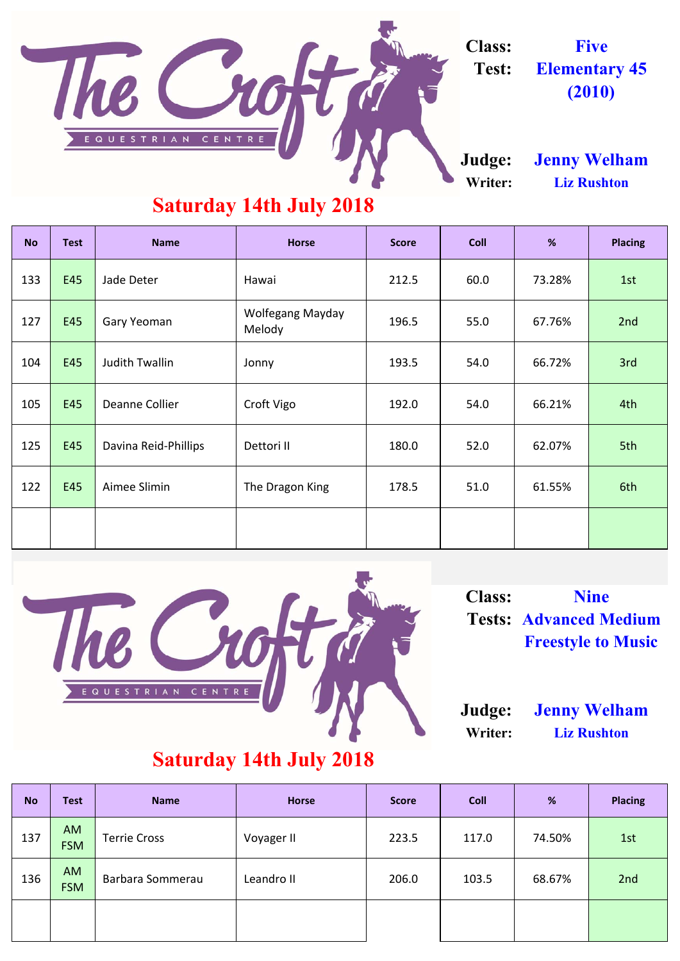| <b>No</b> | <b>Test</b> | <b>Name</b>           | <b>Horse</b>                      | <b>Score</b> | <b>Coll</b>    | %      | <b>Placing</b> |
|-----------|-------------|-----------------------|-----------------------------------|--------------|----------------|--------|----------------|
| 133       | E45         | Jade Deter            | Hawai                             | 212.5        | 60.0           | 73.28% | 1st            |
| 127       | E45         | <b>Gary Yeoman</b>    | <b>Wolfegang Mayday</b><br>Melody | 196.5        | 55.0<br>67.76% |        | 2nd            |
| 104       | E45         | <b>Judith Twallin</b> | Jonny                             | 193.5        | 54.0           | 66.72% | 3rd            |
| 105       | E45         | <b>Deanne Collier</b> | Croft Vigo                        | 192.0        | 54.0           | 66.21% | 4th            |
| 125       | E45         | Davina Reid-Phillips  | Dettori II                        | 180.0        | 52.0           | 62.07% | 5th            |
| 122       | E45         | Aimee Slimin          | The Dragon King                   | 178.5        | 51.0           | 61.55% | 6th            |
|           |             |                       |                                   |              |                |        |                |



| <b>No</b> | <b>Test</b>             | <b>Name</b>         | <b>Horse</b> | <b>Score</b> | Coll  | %      | <b>Placing</b> |
|-----------|-------------------------|---------------------|--------------|--------------|-------|--------|----------------|
| 137       | <b>AM</b><br><b>FSM</b> | <b>Terrie Cross</b> | Voyager II   | 223.5        | 117.0 | 74.50% | 1st            |
| 136       | <b>AM</b><br><b>FSM</b> | Barbara Sommerau    | Leandro II   | 206.0        | 103.5 | 68.67% | 2nd            |
|           |                         |                     |              |              |       |        |                |

#### **Writer: Liz Rushton**

#### **Saturday 14th July 2018**

**Judge: Jenny Welham**



**Class: Nine Tests: Advanced Medium Freestyle to Music**



### **Saturday 14th July 2018**